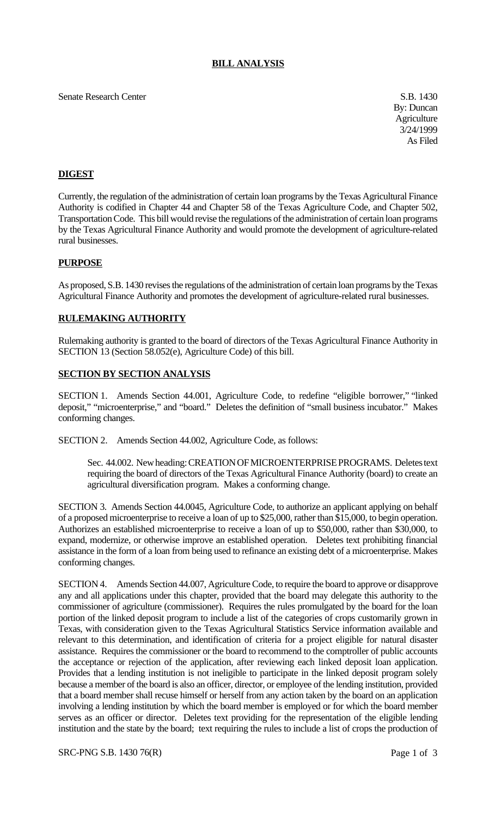## **BILL ANALYSIS**

### Senate Research Center S.B. 1430

By: Duncan **Agriculture** 3/24/1999 As Filed

# **DIGEST**

Currently, the regulation of the administration of certain loan programs by the Texas Agricultural Finance Authority is codified in Chapter 44 and Chapter 58 of the Texas Agriculture Code, and Chapter 502, Transportation Code. This bill would revise the regulations of the administration of certain loan programs by the Texas Agricultural Finance Authority and would promote the development of agriculture-related rural businesses.

## **PURPOSE**

As proposed, S.B. 1430 revises the regulations of the administration of certain loan programs by the Texas Agricultural Finance Authority and promotes the development of agriculture-related rural businesses.

## **RULEMAKING AUTHORITY**

Rulemaking authority is granted to the board of directors of the Texas Agricultural Finance Authority in SECTION 13 (Section 58.052(e), Agriculture Code) of this bill.

## **SECTION BY SECTION ANALYSIS**

SECTION 1. Amends Section 44.001, Agriculture Code, to redefine "eligible borrower," "linked deposit," "microenterprise," and "board." Deletes the definition of "small business incubator." Makes conforming changes.

SECTION 2. Amends Section 44.002, Agriculture Code, as follows:

Sec. 44.002. New heading: CREATION OF MICROENTERPRISE PROGRAMS. Deletes text requiring the board of directors of the Texas Agricultural Finance Authority (board) to create an agricultural diversification program. Makes a conforming change.

SECTION 3. Amends Section 44.0045, Agriculture Code, to authorize an applicant applying on behalf of a proposed microenterprise to receive a loan of up to \$25,000, rather than \$15,000, to begin operation. Authorizes an established microenterprise to receive a loan of up to \$50,000, rather than \$30,000, to expand, modernize, or otherwise improve an established operation. Deletes text prohibiting financial assistance in the form of a loan from being used to refinance an existing debt of a microenterprise. Makes conforming changes.

SECTION 4. Amends Section 44.007, Agriculture Code, to require the board to approve or disapprove any and all applications under this chapter, provided that the board may delegate this authority to the commissioner of agriculture (commissioner). Requires the rules promulgated by the board for the loan portion of the linked deposit program to include a list of the categories of crops customarily grown in Texas, with consideration given to the Texas Agricultural Statistics Service information available and relevant to this determination, and identification of criteria for a project eligible for natural disaster assistance. Requires the commissioner or the board to recommend to the comptroller of public accounts the acceptance or rejection of the application, after reviewing each linked deposit loan application. Provides that a lending institution is not ineligible to participate in the linked deposit program solely because a member of the board is also an officer, director, or employee of the lending institution, provided that a board member shall recuse himself or herself from any action taken by the board on an application involving a lending institution by which the board member is employed or for which the board member serves as an officer or director. Deletes text providing for the representation of the eligible lending institution and the state by the board; text requiring the rules to include a list of crops the production of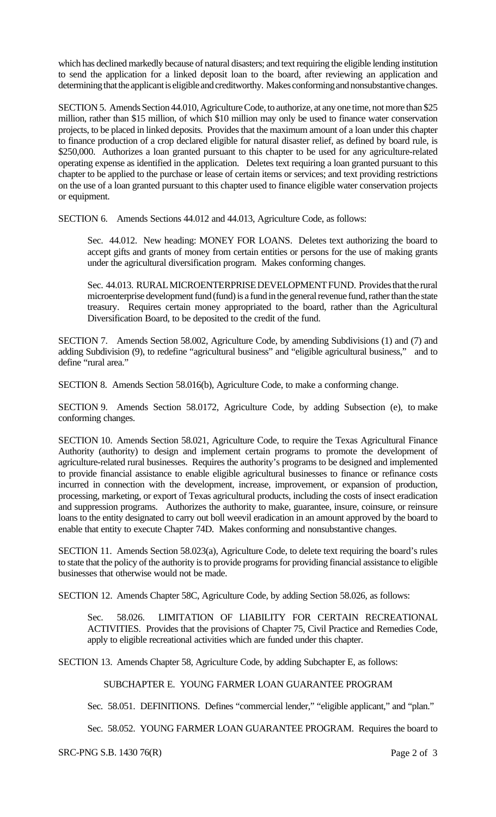which has declined markedly because of natural disasters; and text requiring the eligible lending institution to send the application for a linked deposit loan to the board, after reviewing an application and determining that the applicant is eligible and creditworthy. Makes conforming and nonsubstantive changes.

SECTION 5. Amends Section 44.010, Agriculture Code, to authorize, at any one time, not more than \$25 million, rather than \$15 million, of which \$10 million may only be used to finance water conservation projects, to be placed in linked deposits. Provides that the maximum amount of a loan under this chapter to finance production of a crop declared eligible for natural disaster relief, as defined by board rule, is \$250,000. Authorizes a loan granted pursuant to this chapter to be used for any agriculture-related operating expense as identified in the application. Deletes text requiring a loan granted pursuant to this chapter to be applied to the purchase or lease of certain items or services; and text providing restrictions on the use of a loan granted pursuant to this chapter used to finance eligible water conservation projects or equipment.

SECTION 6. Amends Sections 44.012 and 44.013, Agriculture Code, as follows:

Sec. 44.012. New heading: MONEY FOR LOANS. Deletes text authorizing the board to accept gifts and grants of money from certain entities or persons for the use of making grants under the agricultural diversification program. Makes conforming changes.

Sec. 44.013. RURAL MICROENTERPRISE DEVELOPMENT FUND. Provides that the rural microenterprise development fund (fund) is a fund in the general revenue fund, rather than the state treasury. Requires certain money appropriated to the board, rather than the Agricultural Diversification Board, to be deposited to the credit of the fund.

SECTION 7. Amends Section 58.002, Agriculture Code, by amending Subdivisions (1) and (7) and adding Subdivision (9), to redefine "agricultural business" and "eligible agricultural business," and to define "rural area."

SECTION 8. Amends Section 58.016(b), Agriculture Code, to make a conforming change.

SECTION 9. Amends Section 58.0172, Agriculture Code, by adding Subsection (e), to make conforming changes.

SECTION 10. Amends Section 58.021, Agriculture Code, to require the Texas Agricultural Finance Authority (authority) to design and implement certain programs to promote the development of agriculture-related rural businesses. Requires the authority's programs to be designed and implemented to provide financial assistance to enable eligible agricultural businesses to finance or refinance costs incurred in connection with the development, increase, improvement, or expansion of production, processing, marketing, or export of Texas agricultural products, including the costs of insect eradication and suppression programs. Authorizes the authority to make, guarantee, insure, coinsure, or reinsure loans to the entity designated to carry out boll weevil eradication in an amount approved by the board to enable that entity to execute Chapter 74D. Makes conforming and nonsubstantive changes.

SECTION 11. Amends Section 58.023(a), Agriculture Code, to delete text requiring the board's rules to state that the policy of the authority is to provide programs for providing financial assistance to eligible businesses that otherwise would not be made.

SECTION 12. Amends Chapter 58C, Agriculture Code, by adding Section 58.026, as follows:

Sec. 58.026. LIMITATION OF LIABILITY FOR CERTAIN RECREATIONAL ACTIVITIES. Provides that the provisions of Chapter 75, Civil Practice and Remedies Code, apply to eligible recreational activities which are funded under this chapter.

SECTION 13. Amends Chapter 58, Agriculture Code, by adding Subchapter E, as follows:

SUBCHAPTER E. YOUNG FARMER LOAN GUARANTEE PROGRAM

Sec. 58.051. DEFINITIONS. Defines "commercial lender," "eligible applicant," and "plan."

Sec. 58.052. YOUNG FARMER LOAN GUARANTEE PROGRAM. Requires the board to